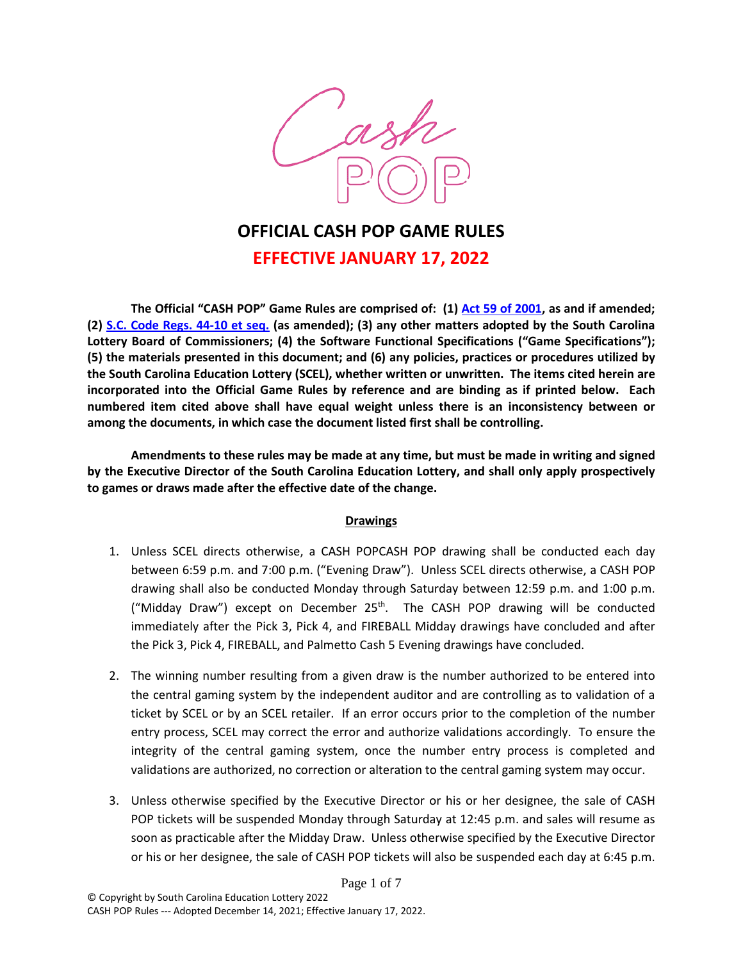

# **OFFICIAL CASH POP GAME RULES EFFECTIVE JANUARY 17, 2022**

**The Official "CASH POP" Game Rules are comprised of: (1) [Act 59 of 2001,](http://www.scstatehouse.gov/code/t59c150.php) as and if amended; (2) [S.C. Code Regs. 44-10 et seq.](http://www.scstatehouse.gov/coderegs/c044.php) (as amended); (3) any other matters adopted by the South Carolina Lottery Board of Commissioners; (4) the Software Functional Specifications ("Game Specifications"); (5) the materials presented in this document; and (6) any policies, practices or procedures utilized by the South Carolina Education Lottery (SCEL), whether written or unwritten. The items cited herein are incorporated into the Official Game Rules by reference and are binding as if printed below. Each numbered item cited above shall have equal weight unless there is an inconsistency between or among the documents, in which case the document listed first shall be controlling.** 

**Amendments to these rules may be made at any time, but must be made in writing and signed by the Executive Director of the South Carolina Education Lottery, and shall only apply prospectively to games or draws made after the effective date of the change.** 

#### **Drawings**

- 1. Unless SCEL directs otherwise, a CASH POPCASH POP drawing shall be conducted each day between 6:59 p.m. and 7:00 p.m. ("Evening Draw"). Unless SCEL directs otherwise, a CASH POP drawing shall also be conducted Monday through Saturday between 12:59 p.m. and 1:00 p.m. ("Midday Draw") except on December  $25<sup>th</sup>$ . The CASH POP drawing will be conducted immediately after the Pick 3, Pick 4, and FIREBALL Midday drawings have concluded and after the Pick 3, Pick 4, FIREBALL, and Palmetto Cash 5 Evening drawings have concluded.
- 2. The winning number resulting from a given draw is the number authorized to be entered into the central gaming system by the independent auditor and are controlling as to validation of a ticket by SCEL or by an SCEL retailer. If an error occurs prior to the completion of the number entry process, SCEL may correct the error and authorize validations accordingly. To ensure the integrity of the central gaming system, once the number entry process is completed and validations are authorized, no correction or alteration to the central gaming system may occur.
- 3. Unless otherwise specified by the Executive Director or his or her designee, the sale of CASH POP tickets will be suspended Monday through Saturday at 12:45 p.m. and sales will resume as soon as practicable after the Midday Draw. Unless otherwise specified by the Executive Director or his or her designee, the sale of CASH POP tickets will also be suspended each day at 6:45 p.m.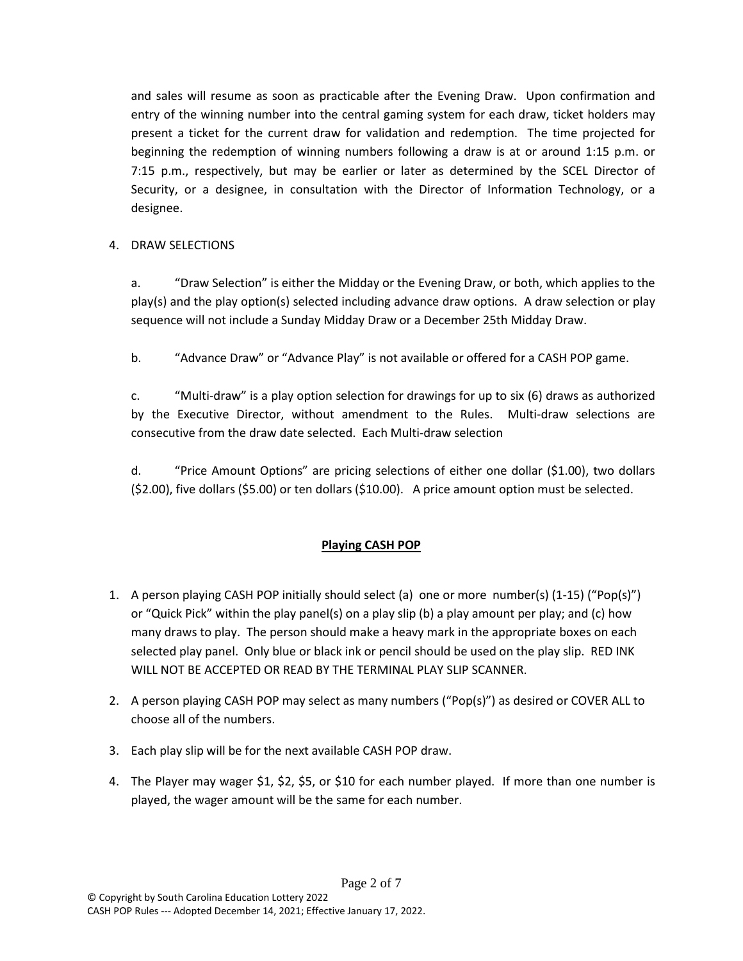and sales will resume as soon as practicable after the Evening Draw. Upon confirmation and entry of the winning number into the central gaming system for each draw, ticket holders may present a ticket for the current draw for validation and redemption. The time projected for beginning the redemption of winning numbers following a draw is at or around 1:15 p.m. or 7:15 p.m., respectively, but may be earlier or later as determined by the SCEL Director of Security, or a designee, in consultation with the Director of Information Technology, or a designee.

## 4. DRAW SELECTIONS

a. "Draw Selection" is either the Midday or the Evening Draw, or both, which applies to the play(s) and the play option(s) selected including advance draw options. A draw selection or play sequence will not include a Sunday Midday Draw or a December 25th Midday Draw.

b. "Advance Draw" or "Advance Play" is not available or offered for a CASH POP game.

c. "Multi-draw" is a play option selection for drawings for up to six (6) draws as authorized by the Executive Director, without amendment to the Rules. Multi-draw selections are consecutive from the draw date selected. Each Multi-draw selection

d. "Price Amount Options" are pricing selections of either one dollar (\$1.00), two dollars (\$2.00), five dollars (\$5.00) or ten dollars (\$10.00). A price amount option must be selected.

## **Playing CASH POP**

- 1. A person playing CASH POP initially should select (a) one or more number(s) (1-15) ("Pop(s)") or "Quick Pick" within the play panel(s) on a play slip (b) a play amount per play; and (c) how many draws to play. The person should make a heavy mark in the appropriate boxes on each selected play panel. Only blue or black ink or pencil should be used on the play slip. RED INK WILL NOT BE ACCEPTED OR READ BY THE TERMINAL PLAY SLIP SCANNER.
- 2. A person playing CASH POP may select as many numbers ("Pop(s)") as desired or COVER ALL to choose all of the numbers.
- 3. Each play slip will be for the next available CASH POP draw.
- 4. The Player may wager \$1, \$2, \$5, or \$10 for each number played. If more than one number is played, the wager amount will be the same for each number.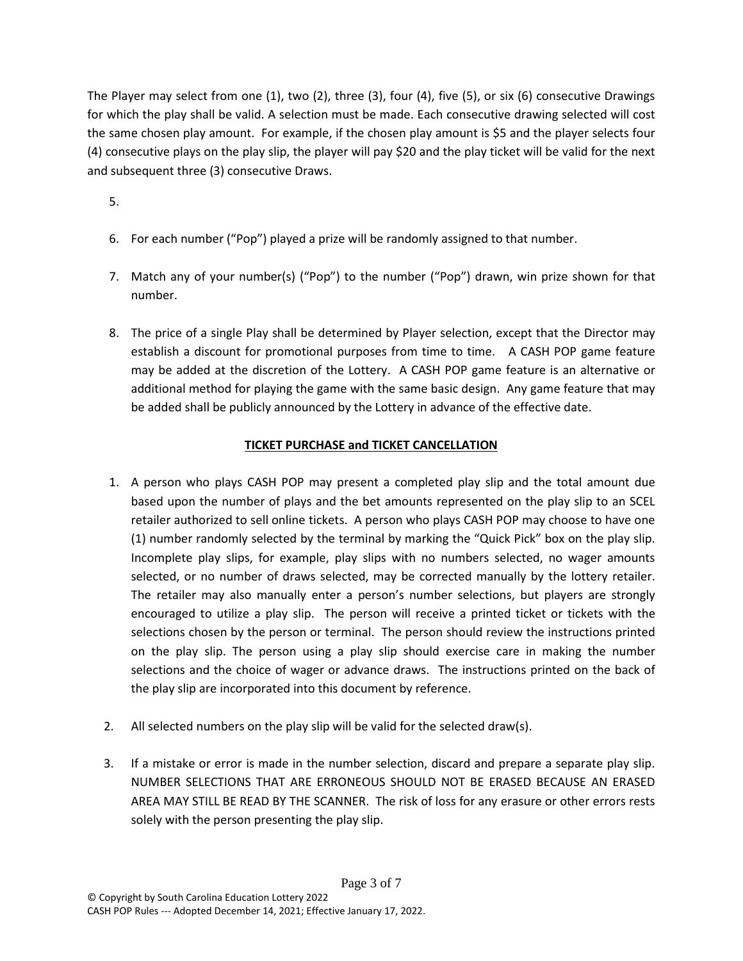The Player may select from one (1), two (2), three (3), four (4), five (5), or six (6) consecutive Drawings for which the play shall be valid. A selection must be made. Each consecutive drawing selected will cost the same chosen play amount. For example, if the chosen play amount is \$5 and the player selects four (4) consecutive plays on the play slip, the player will pay \$20 and the play ticket will be valid for the next and subsequent three (3) consecutive Draws.

5.

- 6. For each number ("Pop") played a prize will be randomly assigned to that number.
- 7. Match any of your number(s) ("Pop") to the number ("Pop") drawn, win prize shown for that number.
- 8. The price of a single Play shall be determined by Player selection, except that the Director may establish a discount for promotional purposes from time to time. A CASH POP game feature may be added at the discretion of the Lottery. A CASH POP game feature is an alternative or additional method for playing the game with the same basic design. Any game feature that may be added shall be publicly announced by the Lottery in advance of the effective date.

## **TICKET PURCHASE and TICKET CANCELLATION**

- 1. A person who plays CASH POP may present a completed play slip and the total amount due based upon the number of plays and the bet amounts represented on the play slip to an SCEL retailer authorized to sell online tickets. A person who plays CASH POP may choose to have one (1) number randomly selected by the terminal by marking the "Quick Pick" box on the play slip. Incomplete play slips, for example, play slips with no numbers selected, no wager amounts selected, or no number of draws selected, may be corrected manually by the lottery retailer. The retailer may also manually enter a person's number selections, but players are strongly encouraged to utilize a play slip. The person will receive a printed ticket or tickets with the selections chosen by the person or terminal. The person should review the instructions printed on the play slip. The person using a play slip should exercise care in making the number selections and the choice of wager or advance draws. The instructions printed on the back of the play slip are incorporated into this document by reference.
- 2. All selected numbers on the play slip will be valid for the selected draw(s).
- 3. If a mistake or error is made in the number selection, discard and prepare a separate play slip. NUMBER SELECTIONS THAT ARE ERRONEOUS SHOULD NOT BE ERASED BECAUSE AN ERASED AREA MAY STILL BE READ BY THE SCANNER. The risk of loss for any erasure or other errors rests solely with the person presenting the play slip.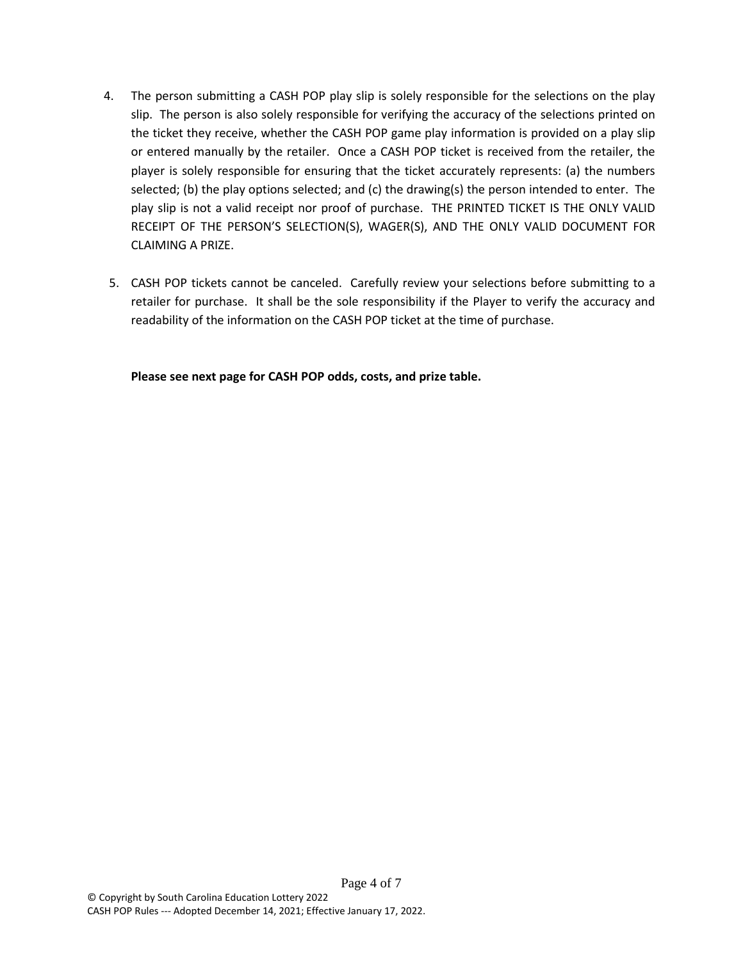- 4. The person submitting a CASH POP play slip is solely responsible for the selections on the play slip. The person is also solely responsible for verifying the accuracy of the selections printed on the ticket they receive, whether the CASH POP game play information is provided on a play slip or entered manually by the retailer. Once a CASH POP ticket is received from the retailer, the player is solely responsible for ensuring that the ticket accurately represents: (a) the numbers selected; (b) the play options selected; and (c) the drawing(s) the person intended to enter. The play slip is not a valid receipt nor proof of purchase. THE PRINTED TICKET IS THE ONLY VALID RECEIPT OF THE PERSON'S SELECTION(S), WAGER(S), AND THE ONLY VALID DOCUMENT FOR CLAIMING A PRIZE.
- 5. CASH POP tickets cannot be canceled. Carefully review your selections before submitting to a retailer for purchase. It shall be the sole responsibility if the Player to verify the accuracy and readability of the information on the CASH POP ticket at the time of purchase.

**Please see next page for CASH POP odds, costs, and prize table.**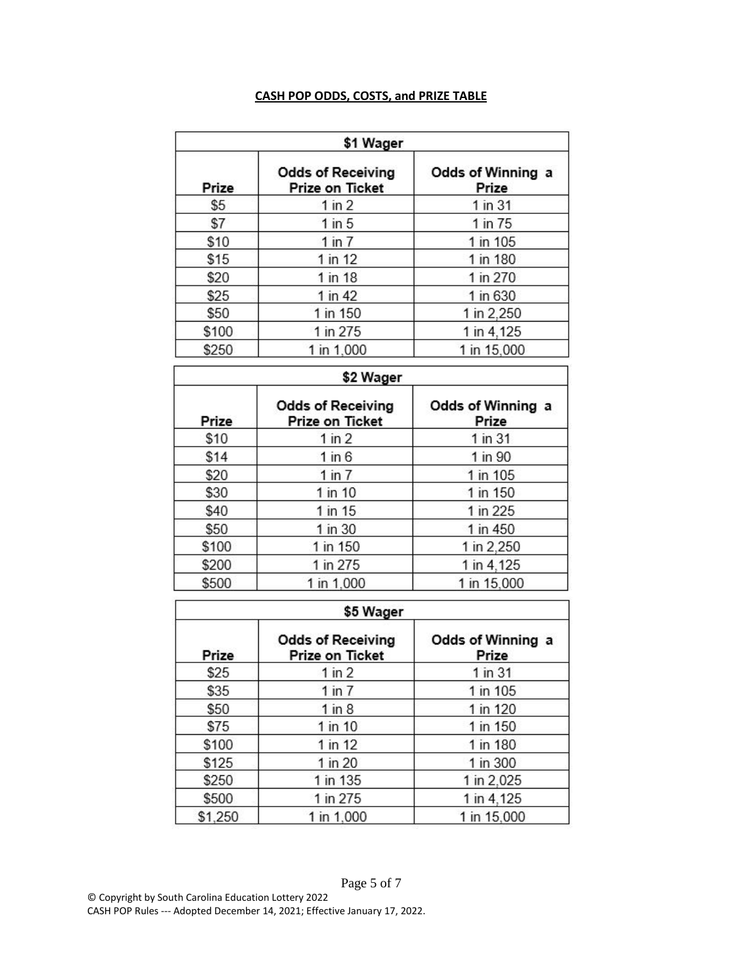## **CASH POP ODDS, COSTS, and PRIZE TABLE**

| \$1 Wager |                                             |                            |  |  |
|-----------|---------------------------------------------|----------------------------|--|--|
| Prize     | <b>Odds of Receiving</b><br>Prize on Ticket | Odds of Winning a<br>Prize |  |  |
| \$5       | $1$ in $2$                                  | 1 in 31                    |  |  |
| \$7       | $1$ in $5$                                  | 1 in 75                    |  |  |
| \$10      | $1$ in $7$                                  | 1 in 105                   |  |  |
| \$15      | $1$ in 12                                   | 1 in 180                   |  |  |
| \$20      | 1 in 18                                     | 1 in 270                   |  |  |
| \$25      | 1 in 42                                     | 1 in 630                   |  |  |
| \$50      | 1 in 150                                    | 1 in 2,250                 |  |  |
| \$100     | 1 in 275                                    | 1 in 4,125                 |  |  |
| \$250     | 1 in 1,000                                  | 1 in 15,000                |  |  |

| \$2 Wager |                                             |                            |  |  |
|-----------|---------------------------------------------|----------------------------|--|--|
| Prize     | <b>Odds of Receiving</b><br>Prize on Ticket | Odds of Winning a<br>Prize |  |  |
| \$10      | $1$ in $2$                                  | 1 in 31                    |  |  |
| \$14      | $1$ in $6$                                  | 1 in 90                    |  |  |
| \$20      | 1 in 7                                      | 1 in 105                   |  |  |
| \$30      | 1 in 10                                     | 1 in 150                   |  |  |
| \$40      | 1 in 15                                     | 1 in 225                   |  |  |
| \$50      | 1 in 30                                     | 1 in 450                   |  |  |
| \$100     | 1 in 150                                    | 1 in 2,250                 |  |  |
| \$200     | 1 in 275                                    | 1 in 4,125                 |  |  |
| \$500     | 1 in 1,000                                  | 1 in 15,000                |  |  |

| \$5 Wager |                                             |                            |  |  |
|-----------|---------------------------------------------|----------------------------|--|--|
| Prize     | <b>Odds of Receiving</b><br>Prize on Ticket | Odds of Winning a<br>Prize |  |  |
| \$25      | 1 in 2                                      | 1 in 31                    |  |  |
| \$35      | $1$ in $7$                                  | 1 in 105                   |  |  |
| \$50      | $1$ in $8$                                  | 1 in 120                   |  |  |
| \$75      | 1 in 10                                     | 1 in 150                   |  |  |
| \$100     | $1$ in 12                                   | 1 in 180                   |  |  |
| \$125     | 1 in 20                                     | 1 in 300                   |  |  |
| \$250     | 1 in 135                                    | 1 in 2,025                 |  |  |
| \$500     | 1 in 275                                    | 1 in 4,125                 |  |  |
| \$1,250   | 1 in 1,000                                  | 1 in 15,000                |  |  |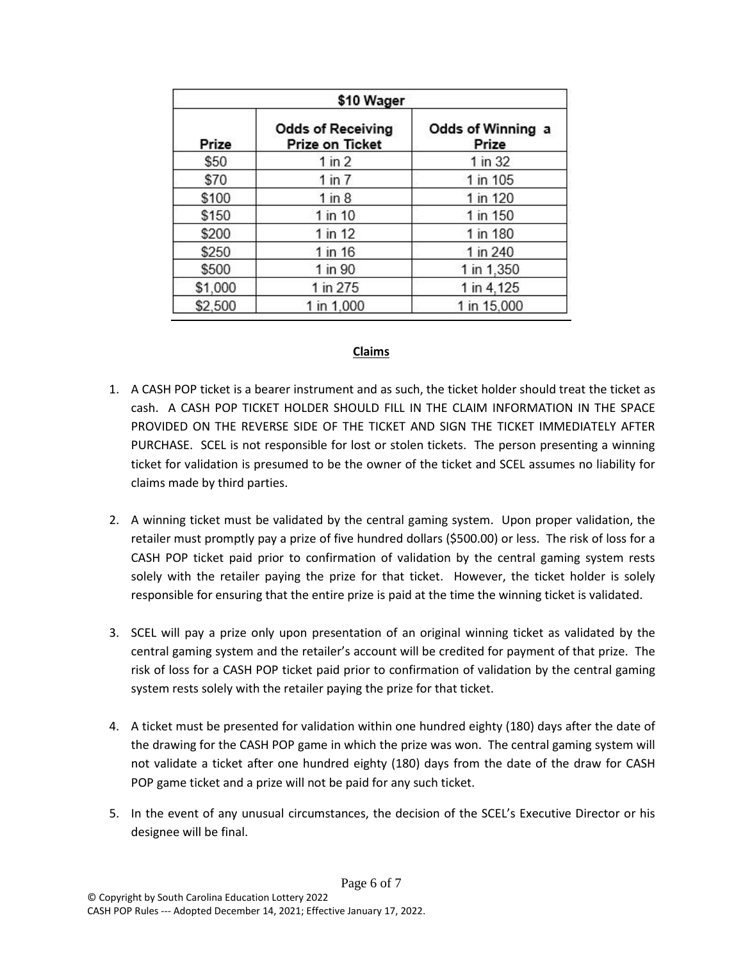|         | \$10 Wager                                  |                            |  |  |  |
|---------|---------------------------------------------|----------------------------|--|--|--|
| Prize   | <b>Odds of Receiving</b><br>Prize on Ticket | Odds of Winning a<br>Prize |  |  |  |
| \$50    | $1$ in $2$                                  | 1 in 32                    |  |  |  |
| \$70    | 1 in 7                                      | 1 in 105                   |  |  |  |
| \$100   | $1$ in $8$                                  | 1 in 120                   |  |  |  |
| \$150   | $1$ in $10$                                 | 1 in 150                   |  |  |  |
| \$200   | 1 in 12                                     | 1 in 180                   |  |  |  |
| \$250   | 1 in 16                                     | 1 in 240                   |  |  |  |
| \$500   | 1 in 90                                     | 1 in 1,350                 |  |  |  |
| \$1,000 | 1 in 275                                    | 1 in 4,125                 |  |  |  |
| \$2,500 | 1 in 1,000                                  | 1 in 15,000                |  |  |  |

#### **Claims**

- 1. A CASH POP ticket is a bearer instrument and as such, the ticket holder should treat the ticket as cash. A CASH POP TICKET HOLDER SHOULD FILL IN THE CLAIM INFORMATION IN THE SPACE PROVIDED ON THE REVERSE SIDE OF THE TICKET AND SIGN THE TICKET IMMEDIATELY AFTER PURCHASE. SCEL is not responsible for lost or stolen tickets. The person presenting a winning ticket for validation is presumed to be the owner of the ticket and SCEL assumes no liability for claims made by third parties.
- 2. A winning ticket must be validated by the central gaming system. Upon proper validation, the retailer must promptly pay a prize of five hundred dollars (\$500.00) or less. The risk of loss for a CASH POP ticket paid prior to confirmation of validation by the central gaming system rests solely with the retailer paying the prize for that ticket. However, the ticket holder is solely responsible for ensuring that the entire prize is paid at the time the winning ticket is validated.
- 3. SCEL will pay a prize only upon presentation of an original winning ticket as validated by the central gaming system and the retailer's account will be credited for payment of that prize. The risk of loss for a CASH POP ticket paid prior to confirmation of validation by the central gaming system rests solely with the retailer paying the prize for that ticket.
- 4. A ticket must be presented for validation within one hundred eighty (180) days after the date of the drawing for the CASH POP game in which the prize was won. The central gaming system will not validate a ticket after one hundred eighty (180) days from the date of the draw for CASH POP game ticket and a prize will not be paid for any such ticket.
- 5. In the event of any unusual circumstances, the decision of the SCEL's Executive Director or his designee will be final.